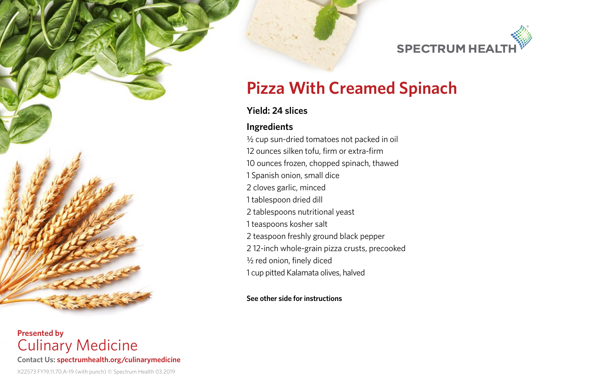

# **Pizza With Creamed Spinach**

# **Yield: 24 slices**

## **Ingredients**

½ cup sun-dried tomatoes not packed in oil 12 ounces silken tofu, firm or extra-firm 10 ounces frozen, chopped spinach, thawed 1 Spanish onion, small dice 2 cloves garlic, minced 1 tablespoon dried dill 2 tablespoons nutritional yeast 1 teaspoons kosher salt 2 teaspoon freshly ground black pepper 2 12-inch whole-grain pizza crusts, precooked ½ red onion, finely diced 1 cup pitted Kalamata olives, halved

**See other side for instructions**

**Presented by**  Culinary Medicine **Contact Us: spectrumhealth.org/culinarymedicine**

#### X22573 FY19.11.70.A-19 (with punch) © Spectrum Health 03.2019